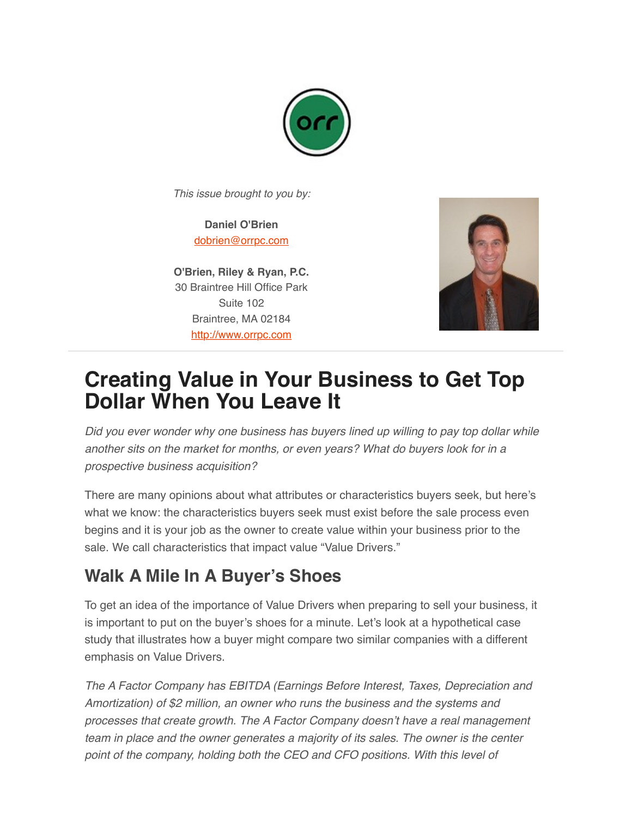

*This issue brought to you by:*

**Daniel O'Brien** [dobrien@orrpc.com](mailto:dobrien@orrpc.com)

**O'Brien, Riley & Ryan, P.C.** 30 Braintree Hill Office Park Suite 102 Braintree, MA 02184 [http://www.orrpc.com](http://www.orrpc.com/)



## **Creating Value in Your Business to Get Top Dollar When You Leave It**

*Did you ever wonder why one business has buyers lined up willing to pay top dollar while another sits on the market for months, or even years? What do buyers look for in a prospective business acquisition?*

There are many opinions about what attributes or characteristics buyers seek, but here's what we know: the characteristics buyers seek must exist before the sale process even begins and it is your job as the owner to create value within your business prior to the sale. We call characteristics that impact value "Value Drivers."

## **Walk A Mile In A Buyer's Shoes**

To get an idea of the importance of Value Drivers when preparing to sell your business, it is important to put on the buyer's shoes for a minute. Let's look at a hypothetical case study that illustrates how a buyer might compare two similar companies with a different emphasis on Value Drivers.

*The A Factor Company has EBITDA (Earnings Before Interest, Taxes, Depreciation and Amortization) of \$2 million, an owner who runs the business and the systems and processes that create growth. The A Factor Company doesn't have a real management team in place and the owner generates a majority of its sales. The owner is the center point of the company, holding both the CEO and CFO positions. With this level of*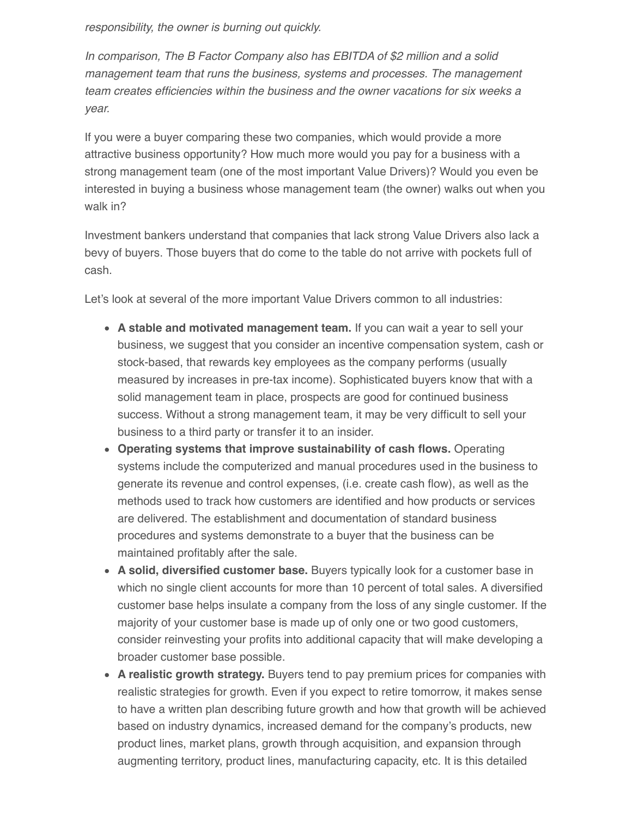*responsibility, the owner is burning out quickly.*

*In comparison, The B Factor Company also has EBITDA of \$2 million and a solid management team that runs the business, systems and processes. The management team creates efficiencies within the business and the owner vacations for six weeks a year.*

If you were a buyer comparing these two companies, which would provide a more attractive business opportunity? How much more would you pay for a business with a strong management team (one of the most important Value Drivers)? Would you even be interested in buying a business whose management team (the owner) walks out when you walk in?

Investment bankers understand that companies that lack strong Value Drivers also lack a bevy of buyers. Those buyers that do come to the table do not arrive with pockets full of cash.

Let's look at several of the more important Value Drivers common to all industries:

- **A stable and motivated management team.** If you can wait a year to sell your business, we suggest that you consider an incentive compensation system, cash or stock-based, that rewards key employees as the company performs (usually measured by increases in pre-tax income). Sophisticated buyers know that with a solid management team in place, prospects are good for continued business success. Without a strong management team, it may be very difficult to sell your business to a third party or transfer it to an insider.
- **Operating systems that improve sustainability of cash flows.** Operating systems include the computerized and manual procedures used in the business to generate its revenue and control expenses, (i.e. create cash flow), as well as the methods used to track how customers are identified and how products or services are delivered. The establishment and documentation of standard business procedures and systems demonstrate to a buyer that the business can be maintained profitably after the sale.
- **A solid, diversified customer base.** Buyers typically look for a customer base in which no single client accounts for more than 10 percent of total sales. A diversified customer base helps insulate a company from the loss of any single customer. If the majority of your customer base is made up of only one or two good customers, consider reinvesting your profits into additional capacity that will make developing a broader customer base possible.
- **A realistic growth strategy.** Buyers tend to pay premium prices for companies with realistic strategies for growth. Even if you expect to retire tomorrow, it makes sense to have a written plan describing future growth and how that growth will be achieved based on industry dynamics, increased demand for the company's products, new product lines, market plans, growth through acquisition, and expansion through augmenting territory, product lines, manufacturing capacity, etc. It is this detailed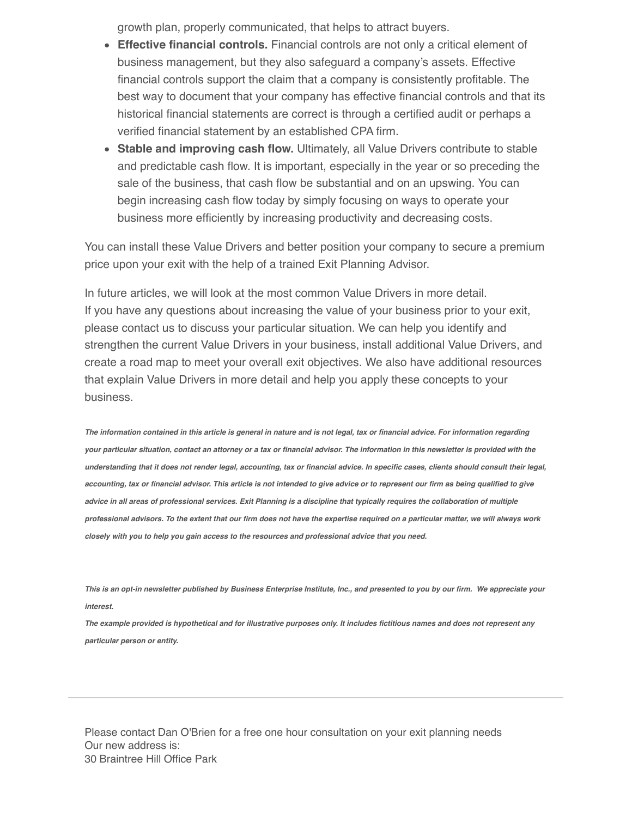growth plan, properly communicated, that helps to attract buyers.

- **Effective financial controls.** Financial controls are not only a critical element of business management, but they also safeguard a company's assets. Effective financial controls support the claim that a company is consistently profitable. The best way to document that your company has effective financial controls and that its historical financial statements are correct is through a certified audit or perhaps a verified financial statement by an established CPA firm.
- **Stable and improving cash flow.** Ultimately, all Value Drivers contribute to stable and predictable cash flow. It is important, especially in the year or so preceding the sale of the business, that cash flow be substantial and on an upswing. You can begin increasing cash flow today by simply focusing on ways to operate your business more efficiently by increasing productivity and decreasing costs.

You can install these Value Drivers and better position your company to secure a premium price upon your exit with the help of a trained Exit Planning Advisor.

In future articles, we will look at the most common Value Drivers in more detail. If you have any questions about increasing the value of your business prior to your exit, please contact us to discuss your particular situation. We can help you identify and strengthen the current Value Drivers in your business, install additional Value Drivers, and create a road map to meet your overall exit objectives. We also have additional resources that explain Value Drivers in more detail and help you apply these concepts to your business.

*The information contained in this article is general in nature and is not legal, tax or financial advice. For information regarding your particular situation, contact an attorney or a tax or financial advisor. The information in this newsletter is provided with the understanding that it does not render legal, accounting, tax or financial advice. In specific cases, clients should consult their legal, accounting, tax or financial advisor. This article is not intended to give advice or to represent our firm as being qualified to give advice in all areas of professional services. Exit Planning is a discipline that typically requires the collaboration of multiple professional advisors. To the extent that our firm does not have the expertise required on a particular matter, we will always work closely with you to help you gain access to the resources and professional advice that you need.*

*This is an opt-in newsletter published by Business Enterprise Institute, Inc., and presented to you by our firm. We appreciate your interest.*

*The example provided is hypothetical and for illustrative purposes only. It includes fictitious names and does not represent any particular person or entity.*

Please contact Dan O'Brien for a free one hour consultation on your exit planning needs Our new address is: 30 Braintree Hill Office Park